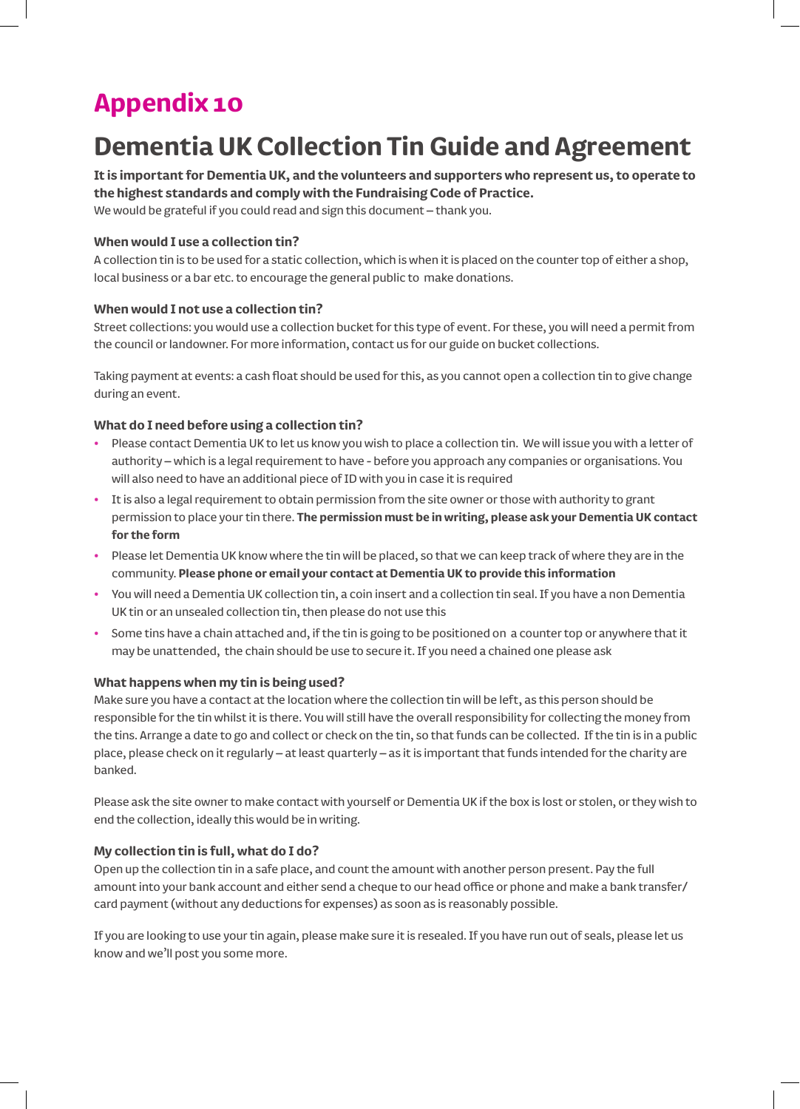# **Appendix 10**

# **Dementia UK Collection Tin Guide and Agreement**

## **It is important for Dementia UK, and the volunteers and supporters who represent us, to operate to the highest standards and comply with the Fundraising Code of Practice.**

We would be grateful if you could read and sign this document – thank you.

### **When would I use a collection tin?**

A collection tin is to be used for a static collection, which is when it is placed on the counter top of either a shop, local business or a bar etc. to encourage the general public to make donations.

### **When would I not use a collection tin?**

Street collections: you would use a collection bucket for this type of event. For these, you will need a permit from the council or landowner. For more information, contact us for our guide on bucket collections.

Taking payment at events: a cash float should be used for this, as you cannot open a collection tin to give change during an event.

### **What do I need before using a collection tin?**

- **•** Please contact Dementia UK to let us know you wish to place a collection tin. We will issue you with a letter of authority – which is a legal requirement to have - before you approach any companies or organisations. You will also need to have an additional piece of ID with you in case it is required
- **•** It is also a legal requirement to obtain permission from the site owner or those with authority to grant permission to place your tin there. **The permission must be in writing, please ask your Dementia UK contact for the form**
- **•** Please let Dementia UK know where the tin will be placed, so that we can keep track of where they are in the community. **Please phone or email your contact at Dementia UK to provide this information**
- **•** You will need a Dementia UK collection tin, a coin insert and a collection tin seal. If you have a non Dementia UK tin or an unsealed collection tin, then please do not use this
- **•** Some tins have a chain attached and, if the tin is going to be positioned on a counter top or anywhere that it may be unattended, the chain should be use to secure it. If you need a chained one please ask

#### **What happens when my tin is being used?**

Make sure you have a contact at the location where the collection tin will be left, as this person should be responsible for the tin whilst it is there. You will still have the overall responsibility for collecting the money from the tins. Arrange a date to go and collect or check on the tin, so that funds can be collected. If the tin is in a public place, please check on it regularly – at least quarterly – as it is important that funds intended for the charity are banked.

Please ask the site owner to make contact with yourself or Dementia UK if the box is lost or stolen, or they wish to end the collection, ideally this would be in writing.

#### **My collection tin is full, what do I do?**

Open up the collection tin in a safe place, and count the amount with another person present. Pay the full amount into your bank account and either send a cheque to our head office or phone and make a bank transfer/ card payment (without any deductions for expenses) as soon as is reasonably possible.

If you are looking to use your tin again, please make sure it is resealed. If you have run out of seals, please let us know and we'll post you some more.